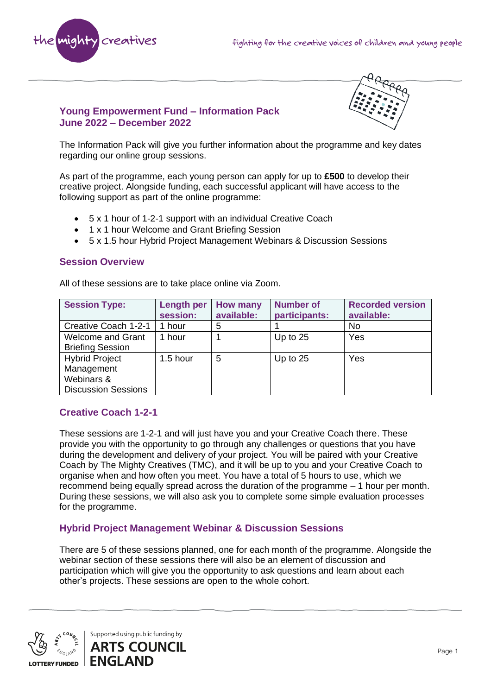



### **Young Empowerment Fund – Information Pack June 2022 – December 2022**

The Information Pack will give you further information about the programme and key dates regarding our online group sessions.

As part of the programme, each young person can apply for up to **£500** to develop their creative project. Alongside funding, each successful applicant will have access to the following support as part of the online programme:

- 5 x 1 hour of 1-2-1 support with an individual Creative Coach
- 1 x 1 hour Welcome and Grant Briefing Session
- 5 x 1.5 hour Hybrid Project Management Webinars & Discussion Sessions

#### **Session Overview**

All of these sessions are to take place online via Zoom.

| <b>Session Type:</b>                                                            | <b>Length per</b><br>session: | <b>How many</b><br>available: | <b>Number of</b><br>participants: | <b>Recorded version</b><br>available: |
|---------------------------------------------------------------------------------|-------------------------------|-------------------------------|-----------------------------------|---------------------------------------|
| Creative Coach 1-2-1                                                            | 1 hour                        | 5                             |                                   | No                                    |
| Welcome and Grant<br><b>Briefing Session</b>                                    | 1 hour                        |                               | Up to $25$                        | Yes                                   |
| <b>Hybrid Project</b><br>Management<br>Webinars &<br><b>Discussion Sessions</b> | $1.5$ hour                    | 5                             | Up to $25$                        | Yes                                   |

## **Creative Coach 1-2-1**

These sessions are 1-2-1 and will just have you and your Creative Coach there. These provide you with the opportunity to go through any challenges or questions that you have during the development and delivery of your project. You will be paired with your Creative Coach by The Mighty Creatives (TMC), and it will be up to you and your Creative Coach to organise when and how often you meet. You have a total of 5 hours to use, which we recommend being equally spread across the duration of the programme – 1 hour per month. During these sessions, we will also ask you to complete some simple evaluation processes for the programme.

## **Hybrid Project Management Webinar & Discussion Sessions**

There are 5 of these sessions planned, one for each month of the programme. Alongside the webinar section of these sessions there will also be an element of discussion and participation which will give you the opportunity to ask questions and learn about each other's projects. These sessions are open to the whole cohort.

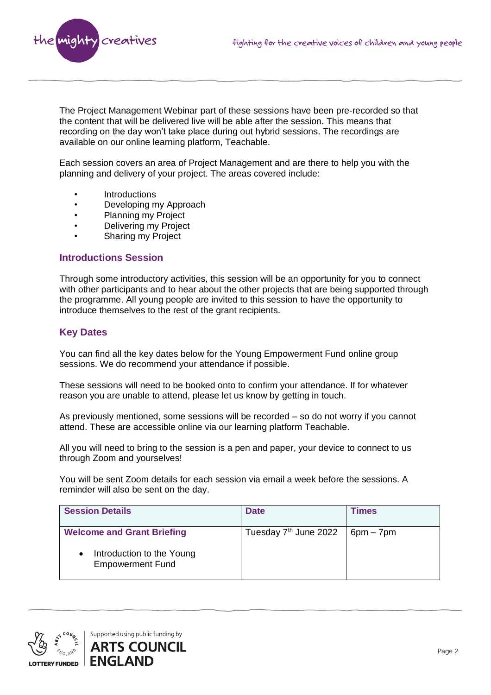

The Project Management Webinar part of these sessions have been pre-recorded so that the content that will be delivered live will be able after the session. This means that recording on the day won't take place during out hybrid sessions. The recordings are available on our online learning platform, Teachable.

Each session covers an area of Project Management and are there to help you with the planning and delivery of your project. The areas covered include:

- **Introductions**
- Developing my Approach
- Planning my Project
- Delivering my Project
- Sharing my Project

#### **Introductions Session**

Through some introductory activities, this session will be an opportunity for you to connect with other participants and to hear about the other projects that are being supported through the programme. All young people are invited to this session to have the opportunity to introduce themselves to the rest of the grant recipients.

### **Key Dates**

You can find all the key dates below for the Young Empowerment Fund online group sessions. We do recommend your attendance if possible.

These sessions will need to be booked onto to confirm your attendance. If for whatever reason you are unable to attend, please let us know by getting in touch.

As previously mentioned, some sessions will be recorded – so do not worry if you cannot attend. These are accessible online via our learning platform Teachable.

All you will need to bring to the session is a pen and paper, your device to connect to us through Zoom and yourselves!

You will be sent Zoom details for each session via email a week before the sessions. A reminder will also be sent on the day.

| <b>Session Details</b>                               | <b>Date</b>                       | Times       |
|------------------------------------------------------|-----------------------------------|-------------|
| <b>Welcome and Grant Briefing</b>                    | Tuesday 7 <sup>th</sup> June 2022 | $6pm - 7pm$ |
| Introduction to the Young<br><b>Empowerment Fund</b> |                                   |             |

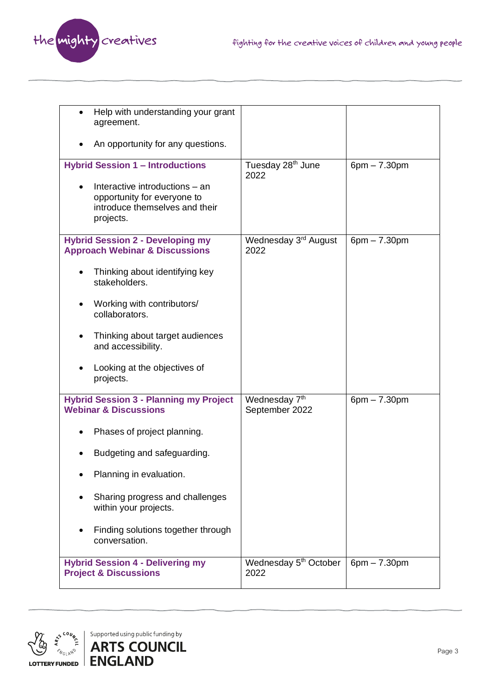

| Help with understanding your grant<br>$\bullet$<br>agreement.                                                |                                             |                |
|--------------------------------------------------------------------------------------------------------------|---------------------------------------------|----------------|
| An opportunity for any questions.                                                                            |                                             |                |
| <b>Hybrid Session 1 - Introductions</b>                                                                      | Tuesday 28 <sup>th</sup> June<br>2022       | $6pm - 7.30pm$ |
| Interactive introductions - an<br>opportunity for everyone to<br>introduce themselves and their<br>projects. |                                             |                |
| <b>Hybrid Session 2 - Developing my</b><br><b>Approach Webinar &amp; Discussions</b>                         | Wednesday 3 <sup>rd</sup> August<br>2022    | $6pm - 7.30pm$ |
| Thinking about identifying key<br>stakeholders.                                                              |                                             |                |
| Working with contributors/<br>٠<br>collaborators.                                                            |                                             |                |
| Thinking about target audiences<br>and accessibility.                                                        |                                             |                |
| Looking at the objectives of<br>projects.                                                                    |                                             |                |
| <b>Hybrid Session 3 - Planning my Project</b><br><b>Webinar &amp; Discussions</b>                            | Wednesday 7 <sup>th</sup><br>September 2022 | $6pm - 7.30pm$ |
| Phases of project planning.                                                                                  |                                             |                |
| Budgeting and safeguarding.                                                                                  |                                             |                |
| Planning in evaluation.                                                                                      |                                             |                |
| Sharing progress and challenges<br>within your projects.                                                     |                                             |                |
| Finding solutions together through<br>conversation.                                                          |                                             |                |
| <b>Hybrid Session 4 - Delivering my</b><br><b>Project &amp; Discussions</b>                                  | Wednesday 5 <sup>th</sup> October<br>2022   | $6pm - 7.30pm$ |

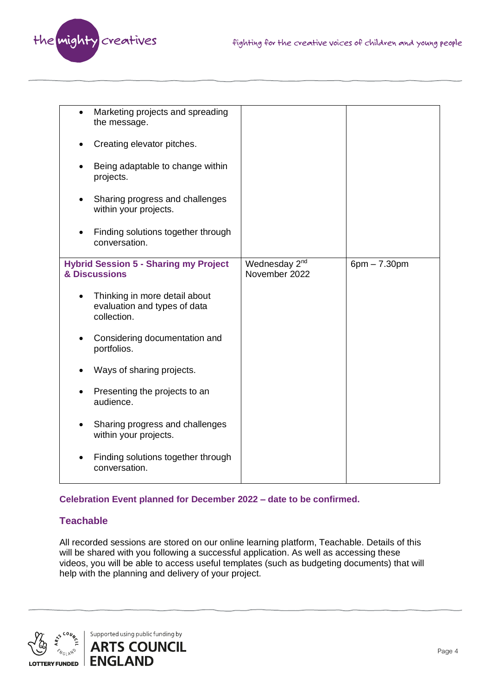

| $\bullet$                                                     | Marketing projects and spreading<br>the message.                             |                                            |                |
|---------------------------------------------------------------|------------------------------------------------------------------------------|--------------------------------------------|----------------|
|                                                               | Creating elevator pitches.                                                   |                                            |                |
|                                                               | Being adaptable to change within<br>projects.                                |                                            |                |
|                                                               | Sharing progress and challenges<br>within your projects.                     |                                            |                |
|                                                               | Finding solutions together through<br>conversation.                          |                                            |                |
| <b>Hybrid Session 5 - Sharing my Project</b><br>& Discussions |                                                                              | Wednesday 2 <sup>nd</sup><br>November 2022 | $6pm - 7.30pm$ |
| $\bullet$                                                     | Thinking in more detail about<br>evaluation and types of data<br>collection. |                                            |                |
| Considering documentation and<br>portfolios.                  |                                                                              |                                            |                |
|                                                               | Ways of sharing projects.                                                    |                                            |                |
|                                                               | Presenting the projects to an<br>audience.                                   |                                            |                |
|                                                               | Sharing progress and challenges<br>within your projects.                     |                                            |                |
|                                                               | Finding solutions together through<br>conversation.                          |                                            |                |

### **Celebration Event planned for December 2022 – date to be confirmed.**

# **Teachable**

All recorded sessions are stored on our online learning platform, Teachable. Details of this will be shared with you following a successful application. As well as accessing these videos, you will be able to access useful templates (such as budgeting documents) that will help with the planning and delivery of your project.